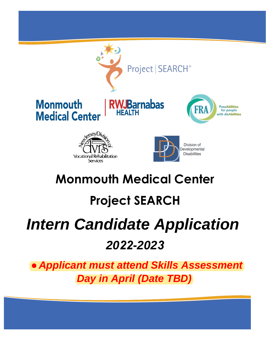

## **Monmouth Medical Center**

# **Project SEARCH**

# *Intern Candidate Application 2022-2023*

● *Applicant must attend Skills Assessment Day in April (Date TBD)*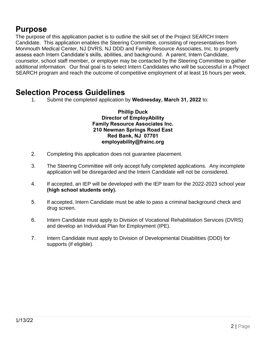#### **Purpose**

The purpose of this application packet is to outline the skill set of the Project SEARCH Intern Candidate. This application enables the Steering Committee, consisting of representatives from Monmouth Medical Center, NJ DVRS, NJ DDD and Family Resource Associates, Inc. to properly assess each Intern Candidate's skills, abilities, and background. A parent, Intern Candidate, counselor, school staff member, or employer may be contacted by the Steering Committee to gather additional information. Our final goal is to select Intern Candidates who will be successful in a Project SEARCH program and reach the outcome of competitive employment of at least 16 hours per week.

#### **Selection Process Guidelines**

1. Submit the completed application by **Wednesday, March 31, 2022** to:

**Phillip Duck Director of EmployAbility Family Resource Associates Inc. 210 Newman Springs Road East Red Bank, NJ 07701 employability@frainc.org** 

- 2. Completing this application does not guarantee placement.
- 3. The Steering Committee will only accept fully completed applications. Any incomplete application will be disregarded and the Intern Candidate will not be considered.
- 4. If accepted, an IEP will be developed with the IEP team for the 2022-2023 school year **(high school students only).**
- 5. If accepted, Intern Candidate must be able to pass a criminal background check and drug screen.
- 6. Intern Candidate must apply to Division of Vocational Rehabilitation Services (DVRS) and develop an Individual Plan for Employment (IPE).
- 7. Intern Candidate must apply to Division of Developmental Disabilities (DDD) for supports (if eligible).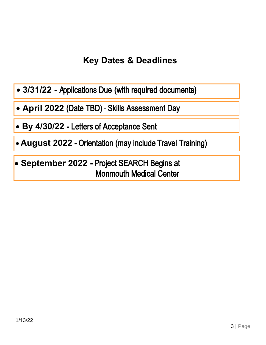## **Key Dates & Deadlines**

- 3/31/22 Applications Due (with required documents)
- **April 2022** (Date TBD) Skills Assessment Day
- **By 4/30/22** Letters of Acceptance Sent
- **August 2022** Orientation (may include Travel Training)
- **September 2022 -** Project SEARCH Begins at Monmouth Medical Center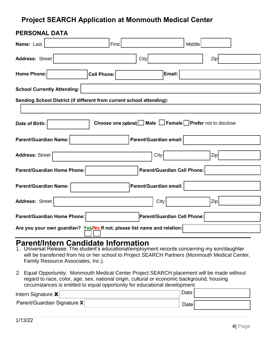#### **Project SEARCH Application at Monmouth Medical Center**

| <b>PERSONAL DATA</b>                                                     |                                                                               |                             |            |  |
|--------------------------------------------------------------------------|-------------------------------------------------------------------------------|-----------------------------|------------|--|
| Name: Last                                                               | First                                                                         | Middle                      |            |  |
| Address: Street                                                          | City                                                                          |                             | Zip        |  |
| Home Phone:                                                              | <b>Cell Phone:</b>                                                            | Email:                      |            |  |
| <b>School Currently Attending:</b>                                       |                                                                               |                             |            |  |
| Sending School District (if different from current school attending):    |                                                                               |                             |            |  |
|                                                                          |                                                                               |                             |            |  |
| Date of Birth:                                                           | Choose one (optional) $\Box$ Male $\Box$ Female $\Box$ Prefer not to disclose |                             |            |  |
| Parent/Guardian email:<br><b>Parent/Guardian Name:</b>                   |                                                                               |                             |            |  |
| <b>Address: Street</b>                                                   |                                                                               | City                        | <b>Zip</b> |  |
| <b>Parent/Guardian Cell Phone:</b><br><b>Parent/Guardian Home Phone:</b> |                                                                               |                             |            |  |
| <b>Parent/Guardian Name:</b>                                             | Parent/Guardian email:                                                        |                             |            |  |
| <b>Address: Street</b>                                                   |                                                                               | City                        | Zip        |  |
| Parent/Guardian Home Phone:                                              |                                                                               | Parent/Guardian Cell Phone: |            |  |
| Are you your own guardian? Yes/No If not, please list name and relation: |                                                                               |                             |            |  |

#### **Parent/Intern Candidate Information**

- 1. Universal Release: The student's educational/employment records concerning my son/daughter will be transferred from his or her school to Project SEARCH Partners (Monmouth Medical Center, Family Resource Associates, Inc.).
- 2. Equal Opportunity: Monmouth Medical Center Project SEARCH placement will be made without regard to race, color, age, sex, national origin, cultural or economic background, housing circumstances is entitled to equal opportunity for educational development.

| Intern Signature $\mathbf{X}$ |  | Date ! |  |
|-------------------------------|--|--------|--|
| Parent/Guardian Signature X   |  | Datel  |  |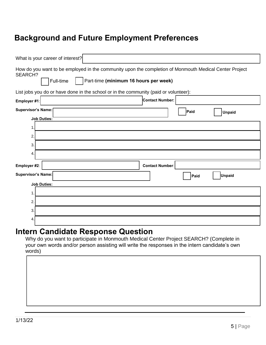#### **Background and Future Employment Preferences**

| What is your career of interest?                                                                                                                                               |                        |
|--------------------------------------------------------------------------------------------------------------------------------------------------------------------------------|------------------------|
| How do you want to be employed in the community upon the completion of Monmouth Medical Center Project<br><b>SEARCH?</b><br>Part-time (minimum 16 hours per week)<br>Full-time |                        |
| List jobs you do or have done in the school or in the community (paid or volunteer):                                                                                           |                        |
| Employer #1:                                                                                                                                                                   | Contact Number:        |
| <b>Supervisor's Name:</b><br><b>Job Duties:</b>                                                                                                                                | Paid<br><b>Unpaid</b>  |
| 1                                                                                                                                                                              |                        |
| 2.                                                                                                                                                                             |                        |
| 3.                                                                                                                                                                             |                        |
| 4.                                                                                                                                                                             |                        |
| Employer #2:                                                                                                                                                                   | <b>Contact Number:</b> |
| <b>Supervisor's Name:</b>                                                                                                                                                      | <b>Unpaid</b><br>Paid  |
| <b>Job Duties:</b>                                                                                                                                                             |                        |
| $\mathbf 1$                                                                                                                                                                    |                        |
| 2                                                                                                                                                                              |                        |
| 3.                                                                                                                                                                             |                        |
| 4.                                                                                                                                                                             |                        |

#### **Intern Candidate Response Question**

Why do you want to participate in Monmouth Medical Center Project SEARCH? (Complete in your own words and/or person assisting will write the responses in the intern candidate's own words)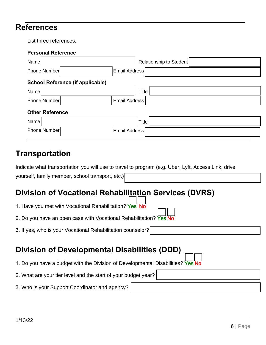#### **References**

List three references.

| <b>Personal Reference</b>               |                         |
|-----------------------------------------|-------------------------|
| Name                                    | Relationship to Student |
| <b>Phone Number</b>                     | Email Address           |
| <b>School Reference (if applicable)</b> |                         |
| Name                                    | <b>Title</b>            |
| Phone Number                            | Email Address           |
| <b>Other Reference</b>                  |                         |
| Name                                    | Title                   |
| Phone Number                            | Email Address           |
|                                         |                         |

#### **Transportation**

|                                                  | Indicate what transportation you will use to travel to program (e.g. Uber, Lyft, Access Link, drive |
|--------------------------------------------------|-----------------------------------------------------------------------------------------------------|
| yourself, family member, school transport, etc.) |                                                                                                     |

## **Division of Vocational Rehabilitation Services (DVRS)**

| 1. Have you met with Vocational Rehabilitation? Yes No             |        |
|--------------------------------------------------------------------|--------|
| 2. Do you have an open case with Vocational Rehabilitation? Yes No | $\Box$ |

3. If yes, who is your Vocational Rehabilitation counselor?

#### **Division of Developmental Disabilities (DDD)**

1. Do you have a budget with the Division of Developmental Disabilities? Yes No

#### 2. What are your tier level and the start of your budget year?

3. Who is your Support Coordinator and agency?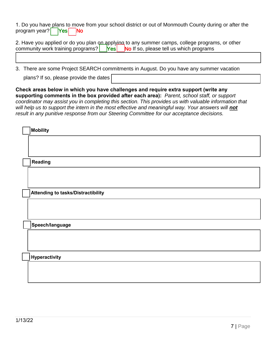1. Do you have plans to move from your school district or out of Monmouth County during or after the program year?  $\left| \right|$  Yes  $\left| \right|$  No

2. Have you applied or do you plan on applying to any summer camps, college programs, or other community work training programs?  $\begin{bmatrix} \text{Yes} \\ \text{No} \end{bmatrix}$  if so, please tell us which programs

3. There are some Project SEARCH commitments in August. Do you have any summer vacation

plans? If so, please provide the dates

**Check areas below in which you have challenges and require extra support (write any supporting comments in the box provided after each area):** *Parent, school staff, or support coordinator may assist you in completing this section. This provides us with valuable information that*  will help us to support the intern in the most effective and meaningful way. Your answers will **not** *result in any punitive response from our Steering Committee for our acceptance decisions.* 

| Mobility                           |
|------------------------------------|
|                                    |
|                                    |
| Reading                            |
|                                    |
|                                    |
| Attending to tasks/Distractibility |
|                                    |
|                                    |
| Speech/language                    |
|                                    |
|                                    |
| Hyperactivity                      |
|                                    |
|                                    |
|                                    |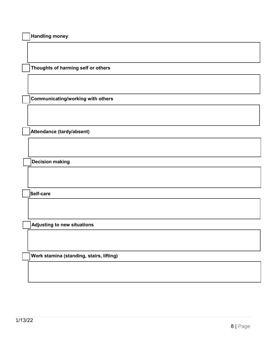|  | <b>Handling money</b> |  |
|--|-----------------------|--|
|--|-----------------------|--|

☐ **Thoughts of harming self or others**

☐ **Communicating/working with others**

☐ **Attendance (tardy/absent)**

☐ **Decision making**

☐ **Self-care**

☐ **Adjusting to new situations**

☐ **Work stamina (standing, stairs, lifting)**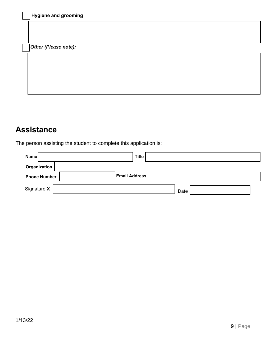| Hygiene and grooming |  |  |  |
|----------------------|--|--|--|
|                      |  |  |  |
| Other (Please note): |  |  |  |
|                      |  |  |  |
|                      |  |  |  |
|                      |  |  |  |
|                      |  |  |  |

## **Assistance**

The person assisting the student to complete this application is:

| Name                | <b>Title</b>         |      |  |
|---------------------|----------------------|------|--|
| Organization        |                      |      |  |
| <b>Phone Number</b> | <b>Email Address</b> |      |  |
| Signature X         |                      | Date |  |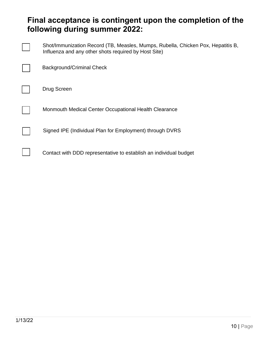#### **Final acceptance is contingent upon the completion of the following during summer 2022:**

| Shot/Immunization Record (TB, Measles, Mumps, Rubella, Chicken Pox, Hepatitis B,<br>Influenza and any other shots required by Host Site) |
|------------------------------------------------------------------------------------------------------------------------------------------|
| <b>Background/Criminal Check</b>                                                                                                         |
| Drug Screen                                                                                                                              |
| Monmouth Medical Center Occupational Health Clearance                                                                                    |
| Signed IPE (Individual Plan for Employment) through DVRS                                                                                 |
| Contact with DDD representative to establish an individual budget                                                                        |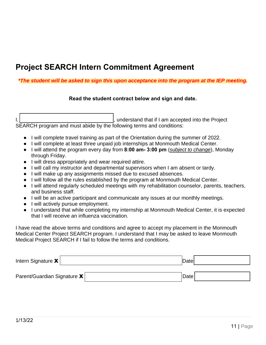#### **Project SEARCH Intern Commitment Agreement**

#### *\*The student will be asked to sign this upon acceptance into the program at the IEP meeting.*

#### **Read the student contract below and sign and date.**

I,  $\vert$  ,  $\vert$  ,  $\vert$  ,  $\vert$  am accepted into the Project SEARCH program and must abide by the following terms and conditions:

- I will complete travel training as part of the Orientation during the summer of 2022.
- I will complete at least three unpaid job internships at Monmouth Medical Center.
- I will attend the program every day from **8:00 am- 3:00 pm** (*subject to change*), Monday through Friday.
- I will dress appropriately and wear required attire.
- I will call my instructor and departmental supervisors when I am absent or tardy.
- I will make up any assignments missed due to excused absences.
- I will follow all the rules established by the program at Monmouth Medical Center.
- I will attend regularly scheduled meetings with my rehabilitation counselor, parents, teachers, and business staff.
- I will be an active participant and communicate any issues at our monthly meetings.
- I will actively pursue employment.
- I understand that while completing my internship at Monmouth Medical Center, it is expected that I will receive an influenza vaccination.

I have read the above terms and conditions and agree to accept my placement in the Monmouth Medical Center Project SEARCH program. I understand that I may be asked to leave Monmouth Medical Project SEARCH if I fail to follow the terms and conditions.

| Intern Signature $\mathbf{x}$          | Datel |  |
|----------------------------------------|-------|--|
| Parent/Guardian Signature $\mathbf{X}$ | Datel |  |
|                                        |       |  |